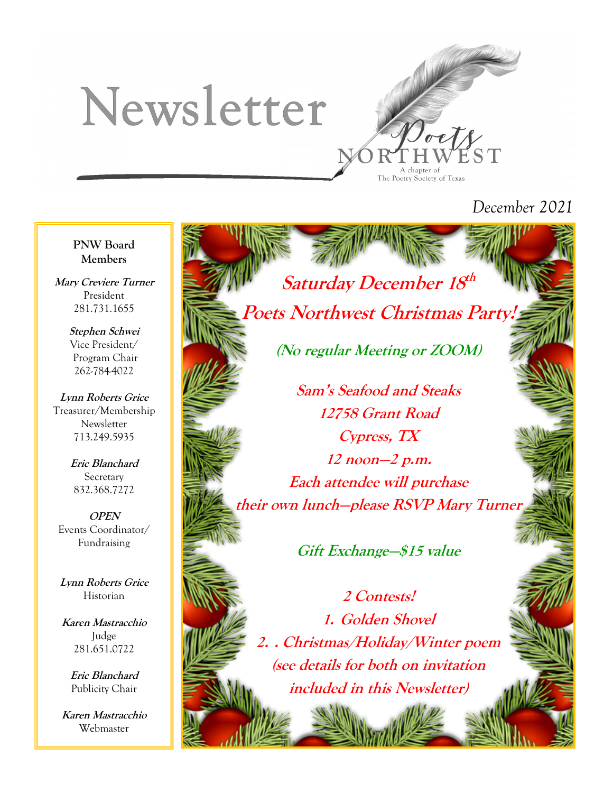# Newsletter



## *December 2021*

**PNW Board Members**

**Mary Creviere Turner** President 281.731.1655

> **Stephen Schwei** Vice President/ Program Chair 262-784-4022

**Lynn Roberts Grice** Treasurer/Membership Newsletter 713.249.5935

> **Eric Blanchard** Secretary 832.368.7272

**OPEN** Events Coordinator/ Fundraising

**Lynn Roberts Grice** Historian

**Karen Mastracchio** Judge 281.651.0722

> **Eric Blanchard** Publicity Chair

**Karen Mastracchio** Webmaster

**Poets Northwest Christmas Part (No regular Meeting or ZOOM)**

**Saturday December 18 th**

**Sam's Seafood and Steaks 12758 Grant Road Cypress, TX 12 noon—2 p.m. Each attendee will purchase their own lunch—please RSVP Mary Turner**

**Gift Exchange—\$15 value**

**2 Contests! 1. Golden Shovel 2. . Christmas/Holiday/Winter poem (see details for both on invitation included in this Newsletter)**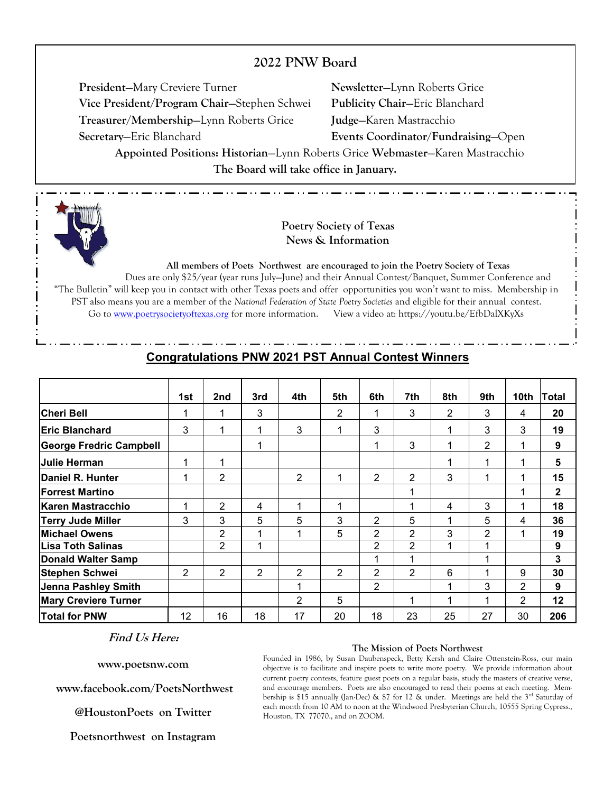### **2022 PNW Board**

**President**—Mary Creviere Turner **Newsletter**—Lynn Roberts Grice **Vice President/Program Chair**—Stephen Schwei **Publicity Chair**—Eric Blanchard **Treasurer/Membership**—Lynn Roberts Grice **Judge**—Karen Mastracchio **Secretary**—Eric Blanchard **Events Coordinator/Fundraising**—Open

**Appointed Positions: Historian**—Lynn Roberts Grice **Webmaster**—Karen Mastracchio **The Board will take office in January.**



#### **Poetry Society of Texas News & Information**

**All members of Poets Northwest are encouraged to join the Poetry Society of Texas**

Dues are only \$25/year (year runs July—June) and their Annual Contest/Banquet, Summer Conference and "The Bulletin" will keep you in contact with other Texas poets and offer opportunities you won't want to miss. Membership in PST also means you are a member of the *National Federation of State Poetry Societies* and eligible for their annual contest. Go to www.poetrysocietyoftexas.org for more information. View a video at: https://youtu.be/EfbDalXKyXs

|                                | 1st            | 2nd            | 3rd | 4th            | 5th            | 6th            | 7th            | 8th | 9th | 10th | <b>Total</b> |
|--------------------------------|----------------|----------------|-----|----------------|----------------|----------------|----------------|-----|-----|------|--------------|
| <b>Cheri Bell</b>              |                | 1              | 3   |                | 2              | 1              | 3              | 2   | 3   | 4    | 20           |
| <b>Eric Blanchard</b>          | 3              | 1              | 1   | 3              |                | 3              |                |     | 3   | 3    | 19           |
| <b>George Fredric Campbell</b> |                |                | 1   |                |                | 1              | 3              | 1   | 2   |      | 9            |
| <b>Julie Herman</b>            |                | 1              |     |                |                |                |                |     |     |      | 5            |
| Daniel R. Hunter               |                | 2              |     | 2              |                | $\overline{2}$ | $\overline{2}$ | 3   |     |      | 15           |
| <b>IForrest Martino</b>        |                |                |     |                |                |                |                |     |     |      | $\mathbf{2}$ |
| Karen Mastracchio              |                | $\overline{2}$ | 4   | 1              | 1              |                |                | 4   | 3   | 1    | 18           |
| <b>Terry Jude Miller</b>       | 3              | 3              | 5   | 5              | 3              | 2              | 5              |     | 5   | 4    | 36           |
| <b>Michael Owens</b>           |                | $\overline{2}$ | 1   | 1              | 5              | 2              | 2              | 3   | 2   |      | 19           |
| <b>ILisa Toth Salinas</b>      |                | $\overline{2}$ | 1   |                |                | 2              | $\overline{2}$ |     | 1   |      | 9            |
| Donald Walter Samp             |                |                |     |                |                | 1              | 1              |     |     |      | 3            |
| <b>Stephen Schwei</b>          | $\overline{2}$ | $\overline{2}$ | 2   | $\overline{2}$ | $\overline{2}$ | 2              | $\overline{2}$ | 6   |     | 9    | 30           |
| <b>Jenna Pashley Smith</b>     |                |                |     | 1              |                | 2              |                |     | 3   | 2    | 9            |
| <b>Mary Creviere Turner</b>    |                |                |     | 2              | 5              |                |                |     |     | 2    | 12           |
| <b>Total for PNW</b>           | 12             | 16             | 18  | 17             | 20             | 18             | 23             | 25  | 27  | 30   | 206          |

#### **Congratulations PNW 2021 PST Annual Contest Winners**

#### **Find Us Here:**

**www.poetsnw.com** 

**www.facebook.com/PoetsNorthwest**

**@HoustonPoets on Twitter**

**Poetsnorthwest on Instagram**

#### **The Mission of Poets Northwest**

Founded in 1986, by Susan Daubenspeck, Betty Kersh and Claire Ottenstein-Ross, our main objective is to facilitate and inspire poets to write more poetry. We provide information about current poetry contests, feature guest poets on a regular basis, study the masters of creative verse, and encourage members. Poets are also encouraged to read their poems at each meeting. Membership is \$15 annually (Jan-Dec) & \$7 for 12 & under. Meetings are held the  $3<sup>rd</sup>$  Saturday of each month from 10 AM to noon at the Windwood Presbyterian Church, 10555 Spring Cypress., Houston, TX 77070., and on ZOOM.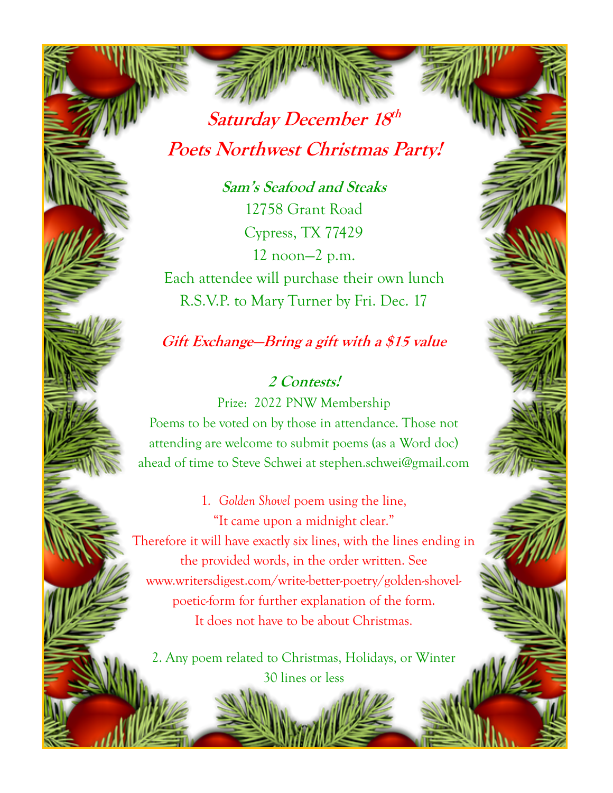**Saturday December 18 th Poets Northwest Christmas Party!**

**Sam's Seafood and Steaks** 12758 Grant Road Cypress, TX 77429 12 noon—2 p.m. Each attendee will purchase their own lunch R.S.V.P. to Mary Turner by Fri. Dec. 17

## **Gift Exchange—Bring a gift with a \$15 value**

**2 Contests!**  Prize: 2022 PNW Membership Poems to be voted on by those in attendance. Those not attending are welcome to submit poems (as a Word doc) ahead of time to Steve Schwei at stephen.schwei@gmail.com

1. *Golden Shovel* poem using the line, "It came upon a midnight clear." Therefore it will have exactly six lines, with the lines ending in the provided words, in the order written. See www.writersdigest.com/write-better-poetry/golden-shovelpoetic-form for further explanation of the form. It does not have to be about Christmas.

2. Any poem related to Christmas, Holidays, or Winter 30 lines or less